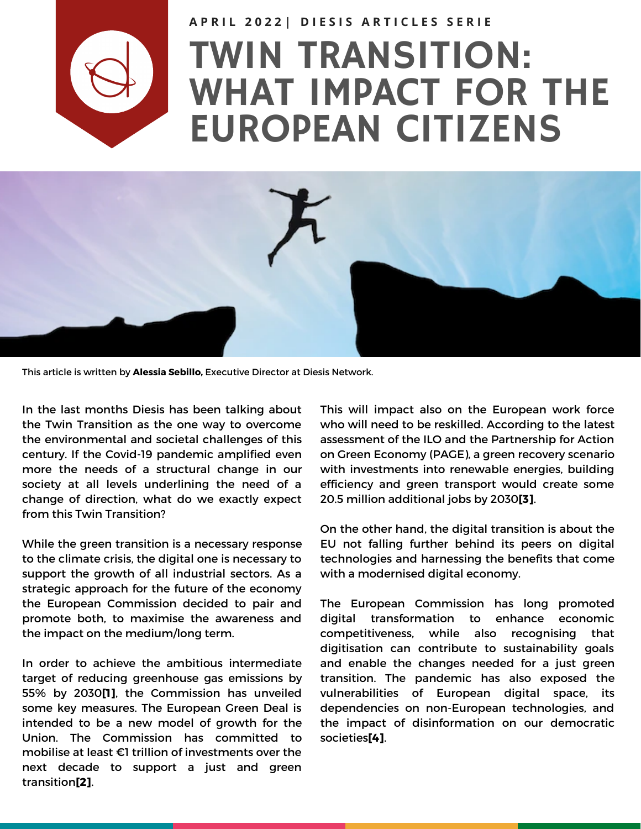

## TWIN TRANSITION: WHAT IMPACT FOR THE EUROPEAN CITIZENS APRIL 20221 DIESIS ARTICLES SERIE



This article is written by **Alessia Sebillo,** Executive Director at Diesis Network.

In the last months Diesis has been talking about the Twin Transition as the one way to overcome the environmental and societal challenges of this century. If the Covid-19 pandemic amplified even more the needs of a structural change in our society at all levels underlining the need of a change of direction, what do we exactly expect from this Twin Transition?

While the green transition is a necessary response to the climate crisis, the digital one is necessary to support the growth of all industrial sectors. As a strategic approach for the future of the economy the European Commission decided to pair and promote both, to maximise the awareness and the impact on the medium/long term.

In order to achieve the ambitious intermediate target of reducing greenhouse gas emissions by 55% by 2030**[1]**, the Commission has unveiled some key measures. The European Green Deal is intended to be a new model of growth for the Union. The Commission has committed to mobilise at least €1 trillion of investments over the next decade to support a just and green transition**[2]**.

This will impact also on the European work force who will need to be reskilled. According to the latest assessment of the ILO and the Partnership for Action on Green Economy (PAGE), a green recovery scenario with investments into renewable energies, building efficiency and green transport would create some 20.5 million additional jobs by 2030**[3]**.

On the other hand, the digital transition is about the EU not falling further behind its peers on digital technologies and harnessing the benefits that come with a modernised digital economy.

The European Commission has long promoted digital transformation to enhance economic competitiveness, while also recognising that digitisation can contribute to sustainability goals and enable the changes needed for a just green transition. The pandemic has also exposed the vulnerabilities of European digital space, its dependencies on non-European technologies, and the impact of disinformation on our democratic societies**[4]**.